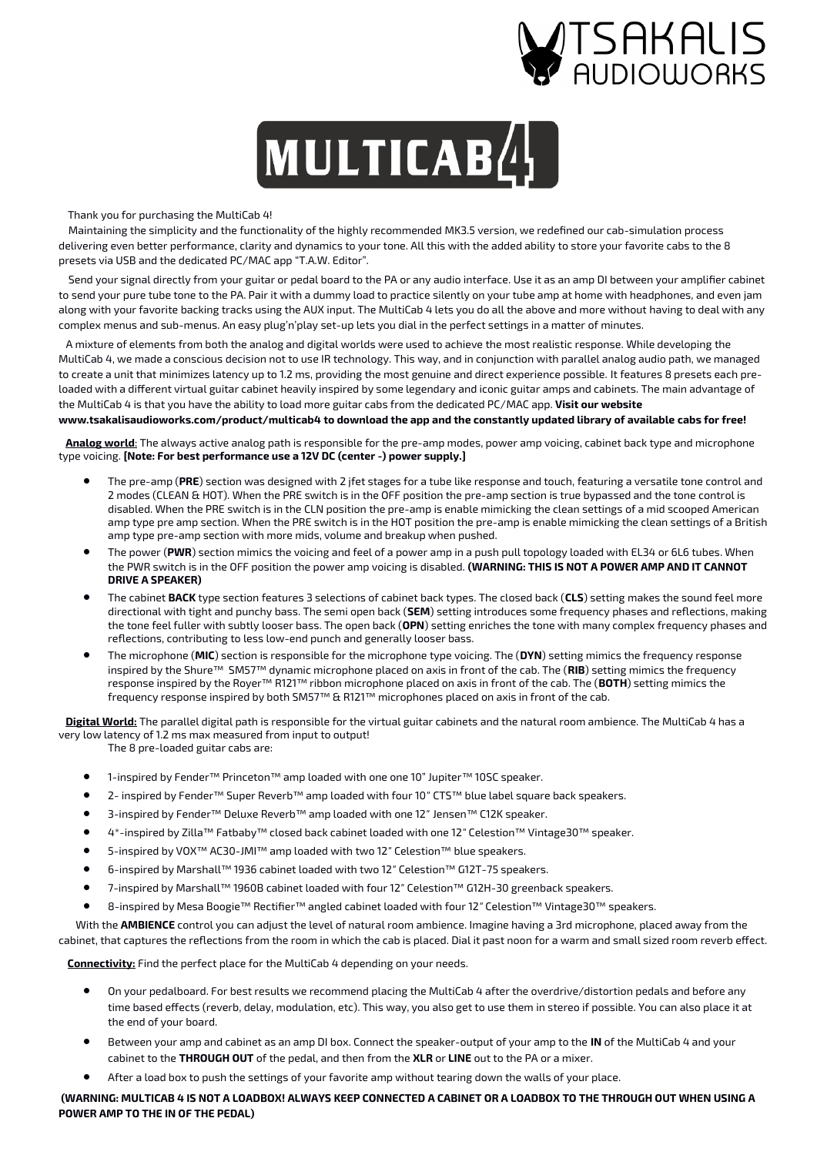

# $\bf{MULTICAB}/$

Thank you for purchasing the MultiCab 4!

 Maintaining the simplicity and the functionality of the highly recommended MK3.5 version, we redefined our cab-simulation process delivering even better performance, clarity and dynamics to your tone. All this with the added ability to store your favorite cabs to the 8 presets via USB and the dedicated PC/MAC app "T.A.W. Editor".

 Send your signal directly from your guitar or pedal board to the PA or any audio interface. Use it as an amp DI between your amplifier cabinet to send your pure tube tone to the PA. Pair it with a dummy load to practice silently on your tube amp at home with headphones, and even jam along with your favorite backing tracks using the AUX input. The MultiCab 4 lets you do all the above and more without having to deal with any complex menus and sub-menus. An easy plug'n'play set-up lets you dial in the perfect settings in a matter of minutes.

 A mixture of elements from both the analog and digital worlds were used to achieve the most realistic response. While developing the MultiCab 4, we made a conscious decision not to use IR technology. This way, and in conjunction with parallel analog audio path, we managed to create a unit that minimizes latency up to 1.2 ms, providing the most genuine and direct experience possible. It features 8 presets each preloaded with a different virtual guitar cabinet heavily inspired by some legendary and iconic guitar amps and cabinets. The main advantage of the MultiCab 4 is that you have the ability to load more guitar cabs from the dedicated PC/MAC app. **Visit our website** 

## **www.tsakalisaudioworks.com/product/multicab4 to download the app and the constantly updated library of available cabs for free!**

Analog world: The always active analog path is responsible for the pre-amp modes, power amp voicing, cabinet back type and microphone type voicing. **[Note: For best performance use a 12V DC (center -) power supply.]**

- The pre-amp (**PRE**) section was designed with 2 jfet stages for a tube like response and touch, featuring a versatile tone control and 2 modes (CLEAN & HOT). When the PRE switch is in the OFF position the pre-amp section is true bypassed and the tone control is disabled. When the PRE switch is in the CLN position the pre-amp is enable mimicking the clean settings of a mid scooped American amp type pre amp section. When the PRE switch is in the HOT position the pre-amp is enable mimicking the clean settings of a British amp type pre-amp section with more mids, volume and breakup when pushed.
- The power (**PWR**) section mimics the voicing and feel of a power amp in a push pull topology loaded with EL34 or 6L6 tubes. When the PWR switch is in the OFF position the power amp voicing is disabled. **(WARNING: THIS IS NOT A POWER AMP AND IT CANNOT DRIVE A SPEAKER)**
- The cabinet **BACK** type section features 3 selections of cabinet back types. The closed back (**CLS**) setting makes the sound feel more directional with tight and punchy bass. The semi open back (**SEM**) setting introduces some frequency phases and reflections, making the tone feel fuller with subtly looser bass. The open back (**OPN**) setting enriches the tone with many complex frequency phases and reflections, contributing to less low-end punch and generally looser bass.
- The microphone (**MIC**) section is responsible for the microphone type voicing. The (**DYN**) setting mimics the frequency response inspired by the Shure™ SM57™ dynamic microphone placed on axis in front of the cab. The (**RIB**) setting mimics the frequency response inspired by the Royer™ R121™ ribbon microphone placed on axis in front of the cab. The (**BOTH**) setting mimics the frequency response inspired by both SM57™ & R121™ microphones placed on axis in front of the cab.

 **Digital World:** The parallel digital path is responsible for the virtual guitar cabinets and the natural room ambience. The MultiCab 4 has a very low latency of 1.2 ms max measured from input to output!

The 8 pre-loaded guitar cabs are:

- 1-inspired by Fender™ Princeton™ amp loaded with one one 10" Jupiter™ 10SC speaker.
- 2- inspired by Fender™ Super Reverb™ amp loaded with four 10 ″ CTS™ blue label square back speakers.
- 3-inspired by Fender™ Deluxe Reverb™ amp loaded with one 12 ″ Jensen™ C12K speaker.
- 4\*-inspired by Zilla™ Fatbaby™ closed back cabinet loaded with one 12 Celestion™ Vintage30™ speaker. ″
- 5-inspired by VOX™ AC30-JMI™ amp loaded with two 12" Celestion™ blue speakers.
- 6-inspired by Marshall™ 1936 cabinet loaded with two 12" Celestion™ G12T-75 speakers.
- 7-inspired by Marshall™ 1960B cabinet loaded with four 12" Celestion™ G12H-30 greenback speakers.
- 8-inspired by Mesa Boogie™ Rectifier™ angled cabinet loaded with four 12" Celestion™ Vintage30™ speakers.

With the **AMBIENCE** control you can adjust the level of natural room ambience. Imagine having a 3rd microphone, placed away from the

cabinet, that captures the reflections from the room in which the cab is placed. Dial it past noon for a warm and small sized room reverb effect.

 **Connectivity:** Find the perfect place for the MultiCab 4 depending on your needs.

- On your pedalboard. For best results we recommend placing the MultiCab 4 after the overdrive/distortion pedals and before any time based effects (reverb, delay, modulation, etc). This way, you also get to use them in stereo if possible. You can also place it at the end of your board.
- Between your amp and cabinet as an amp DI box. Connect the speaker-output of your amp to the **IN** of the MultiCab 4 and your cabinet to the **THROUGH OUT** of the pedal, and then from the **XLR** or **LINE** out to the PA or a mixer.
- After a load box to push the settings of your favorite amp without tearing down the walls of your place.

**(WARNING: MULTICAB 4 IS NOT A LOADBOX! ALWAYS KEEP CONNECTED A CABINET OR A LOADBOX TO THE THROUGH OUT WHEN USING A POWER AMP TO THE IN OF THE PEDAL)**